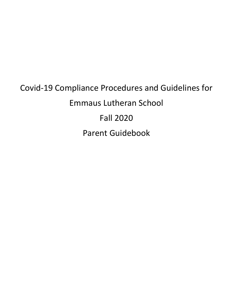# Covid-19 Compliance Procedures and Guidelines for Emmaus Lutheran School Fall 2020 Parent Guidebook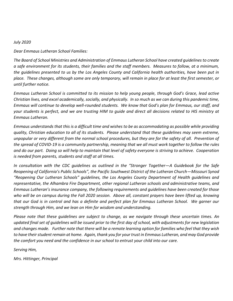#### *July 2020*

*Dear Emmaus Lutheran School Families:*

*The Board of School Ministries and Administration of Emmaus Lutheran School have created guidelines to create a safe environment for its students, their families and the staff members. Measures to follow, at a minimum, the guidelines presented to us by the Los Angeles County and California health authorities, have been put in place. These changes, although some are only temporary, will remain in place for at least the first semester, or until further notice.*

*Emmaus Lutheran School is committed to its mission to help young people, through God's Grace, lead active Christian lives, and excel academically, socially, and physically. In so much as we can during this pandemic time, Emmaus will continue to develop well-rounded students. We know that God's plan for Emmaus, our staff, and your students is perfect, and we are trusting HIM to guide and direct all decisions related to HIS ministry at Emmaus Lutheran.*

*Emmaus understands that this is a difficult time and wishes to be as accommodating as possible while providing quality, Christian education to all of its students. Please understand that these guidelines may seem extreme, unpopular or very different from the normal school procedures, but they are for the safety of all. Prevention of the spread of COVID-19 is a community partnership, meaning that we all must work together to follow the rules and do our part. Doing so will help to maintain that level of safety everyone is striving to achieve. Cooperation is needed from parents, students and staff at all times.*

*In consultation with the CDC guidelines as outlined in the "Stronger Together—A Guidebook for the Safe Reopening of California's Public Schools", the Pacific Southwest District of the Lutheran Church—Missouri Synod "Reopening Our Lutheran Schools" guidelines, the Los Angeles County Department of Health guidelines and representative, the Alhambra Fire Department, other regional Lutheran schools and administrative teams, and Emmaus Lutheran's insurance company, the following requirements and guidelines have been created for those*  who will be on campus during the Fall 2020 session. Above all, constant prayers have been lifted up, knowing *that our God is in control and has a definite and perfect plan for Emmaus Lutheran School. We garner our strength through Him, and we lean on Him for wisdom and understanding.*

*Please note that these guidelines are subject to change, as we navigate through these uncertain times. An updated final set of guidelines will be issued prior to the first day of school, with adjustments for new legislation and changes made. Further note that there will be a remote learning option for families who feel that they wish to have their student remain at home. Again, thank you for your trust in Emmaus Lutheran, and may God provide the comfort you need and the confidence in our school to entrust your child into our care.*

*Serving Him,*

*Mrs. Hittinger, Principal*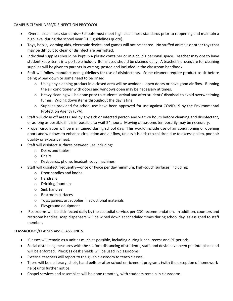CAMPUS CLEANLINESS/DISINFECTION PROTOCOL

- Overall cleanliness standards—Schools must meet high cleanliness standards prior to reopening and maintain a high level during the school year (CDC guidelines quote).
- Toys, books, learning aids, electronic device, and games will not be shared. No stuffed animals or other toys that may be difficult to clean or disinfect are permitted.
- Individual supplies should be kept in a plastic container or in a child's personal space. Teacher may opt to have student keep items in a portable holder. Items used should be cleaned daily. A teacher's procedure for cleaning supplies will be given to parents in writing, posted and included in the classroom handbook.
- Staff will follow manufacturers guidelines for use of disinfectants. Some cleaners require product to sit before being wiped down or some need to be rinsed.
	- $\circ$  Using any cleaning product in a closed area will be avoided—open doors or have good air flow. Running the air conditioner with doors and windows open may be necessary at times.
	- $\circ$  Heavy cleaning will be done prior to students' arrival and after students' dismissal to avoid overwhelming fumes. Wiping down items throughout the day is fine.
	- $\circ$  Supplies provided for school use have been approved for use against COVID-19 by the Environmental Protection Agency (EPA).
- Staff will close off areas used by any sick or infected person and wait 24 hours before cleaning and disinfectant, or as long as possible if it is impossible to wait 24 hours. Moving classrooms temporarily may be necessary.
- Proper circulation will be maintained during school day. This would include use of air conditioning or opening doors and windows to enhance circulation and air flow, unless it is a risk to children due to excess pollen, poor air quality or excessive heat.
- Staff will disinfect surfaces between use including:
	- o Desks and tables
	- o Chairs
	- o Keyboards, phone, headset, copy machines
- Staff will disinfect frequently—once or twice per day minimum, high-touch surfaces, including:
	- o Door handles and knobs
	- o Handrails
	- o Drinking fountains
	- o Sink handles
	- o Restroom surfaces
	- o Toys, games, art supplies, instructional materials
	- o Playground equipment
- Restrooms will be disinfected daily by the custodial service, per CDC recommendation. In addition, counters and restroom handles, soap dispensers will be wiped down at scheduled times during school day, as assigned to staff member.

# CLASSROOMS/CLASSES and CLASS UNITS

- Classes will remain as a unit as much as possible, including during lunch, recess and PE periods.
- Social distancing measures with the six-foot distancing of students, staff, and desks have been put into place and will be enforced. Plexiglas desk shields will be used in classrooms.
- External teachers will report to the given classroom to teach classes.
- There will be no library, choir, hand bells or after school enrichment programs (with the exception of homework help) until further notice.
- Chapel services and assemblies will be done remotely, with students remain in classrooms.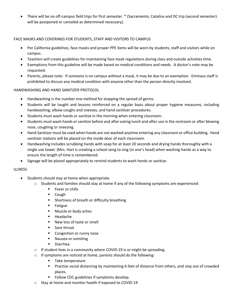There will be no off-campus field trips for first semester. \* (Sacramento, Catalina and DC trip (second semester) will be postponed or canceled as determined necessary).

### FACE MASKS AND COVERINGS FOR STUDENTS, STAFF AND VISITORS TO CAMPUS

- Per California guidelines, face masks and proper PPE items will be worn by students, staff and visitors while on campus.
- Teachers will create guidelines for maintaining face mask regulations during class and outside activities time.
- Exemptions from this guideline will be made based on medical conditions and needs. A doctor's note may be requested.
- Parents, please note: If someone is on campus without a mask, it may be due to an exemption. Emmaus staff is prohibited to discuss any medical condition with anyone other than the person directly involved.

### HANDWASHING AND HAND SANITIZER PROTOCOL

- Handwashing is the number one method for stopping the spread of germs.
- Students will be taught and lessons reinforced on a regular basis about proper hygiene measures, including handwashing, elbow coughs and sneezes, and hand sanitizer procedures.
- Students must wash hands or sanitize in the morning when entering classroom.
- Students must wash hands or sanitize before and after eating lunch and after use in the restroom or after blowing nose, coughing or sneezing.
- Hand Sanitizer must be used when hands are not washed anytime entering any classroom or office building. Hand sanitizer stations will be placed on the inside door of each classroom.
- Handwashing includes scrubbing hands with soap for at least 20 seconds and drying hands thoroughly with a single use towel. (Mrs. Hart is creating a school song to sing (in one's head) when washing hands as a way to ensure the length of time is remembered.
- Signage will be placed appropriately to remind students to wash hands or sanitize.

#### **ILLNESS**

- Students should stay at home when appropriate.
	- $\circ$  Students and families should stay at home if any of the following symptoms are experienced:
		- **Fever or chills**
		- Cough
		- **Shortness of breath or difficulty breathing**
		- **Fatigue**
		- **Muscle or body aches**
		- Headache
		- New loss of taste or smell
		- **Sore throat**
		- **Congestion or runny nose**
		- **Nausea or vomiting**
		- Diarrhea
	- $\circ$  If student lives in a community where COVID-19 is or might be spreading.
	- o If symptoms are noticed at home, parents should do the following:
		- **Take temperature**
		- **Practice social distancing by maintaining 6 feet of distance from others, and stay out of crowded** places.
		- **FIMILE 15 Follow CDC guidelines if symptoms develop.**
	- o Stay at home and monitor health if exposed to COVID-19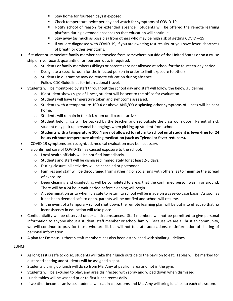- **Stay home for fourteen days if exposed.**
- **EXP** Check temperature twice per day and watch for symptoms of COVID-19
- Notify school of reason for extended absence. Students will be offered the remote learning platform during extended absences so that education will continue.
- Stay away (as much as possible) from others who may be high risk of getting COVID $-19$ .
- If you are diagnosed with COVID-19, if you are awaiting test results, or you have fever, shortness of breath or other symptoms.
- If student or immediate family member has traveled from somewhere outside of the United States or on a cruise ship or river board, quarantine for fourteen days is required.
	- $\circ$  Students or family members (siblings or parents) are not allowed at school for the fourteen-day period.
	- $\circ$  Designate a specific room for the infected person in order to limit exposure to others.
	- o Students in quarantine may do remote education during absence.
	- o Follow CDC Guidelines for international travel.
- Students will be monitored by staff throughout the school day and staff will follow the below guidelines:
	- o If a student shows signs of illness, student will be sent to the office for evaluation.
	- o Students will have temperature taken and symptoms assessed.
	- o Students with a temperature **100.4** or above AND/OR displaying other symptoms of illness will be sent home.
	- o Students will remain in the sick room until parent arrives.
	- $\circ$  Student belongings will be packed by the teacher and set outside the classroom door. Parent of sick student may pick up personal belongings when picking up student from school.
	- o **Students with a temperature 100.4 are not allowed to return to school until student is fever-free for 24 hours without temperature-altering medication (such as Tylenol or fever-reducers).**
- If COVID-19 symptoms are recognized, medical evaluation may be necessary.
	- If a confirmed case of COVID-19 has caused exposure to the school:
		- o Local health officials will be notified immediately.
		- o Students and staff will be dismissed immediately for at least 2-5 days.
		- o During closure, all activities will be canceled or postponed.
		- o Families and staff will be discouraged from gathering or socializing with others, as to minimize the spread of exposure.
		- o Deep cleaning and disinfecting will be completed to areas that the confirmed person was in or around. There will be a 24 hour wait period before cleaning will begin.
		- o A determination as to when it is safe to return to school will be made on a case-to-case basis. As soon as it has been deemed safe to open, parents will be notified and school will resume.
		- $\circ$  In the event of a temporary school shut down, the remote learning plan will be put into effect so that no inconsistency in education will take place.
- Confidentiality will be observed under all circumstances. Staff members will not be permitted to give personal information to anyone about a student, staff member or school family. Because we are a Christian community, we will continue to pray for those who are ill, but will not tolerate accusations, misinformation of sharing of personal information.
- A plan for Emmaus Lutheran staff members has also been established with similar guidelines.

## LUNCH

- As long as it is safe to do so, students will take their lunch outside to the pavilion to eat. Tables will be marked for distanced seating and students will be assigned a spot.
- Students picking up lunch will do so from Ms. Amy at pavilion area and not in the gym.
- Students will be excused to play, and area disinfected with spray and wiped down when dismissed.
- Lunch tables will be washed prior to first lunch recess daily.
- If weather becomes an issue, students will eat in classrooms and Ms. Amy will bring lunches to each classroom.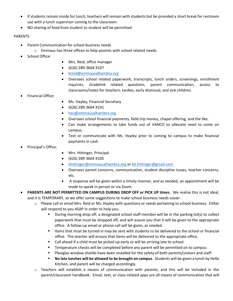- If students remain inside for lunch, teachers will remain with students but be provided a short break for restroom use with a lunch supervisor coming to the classroom.
- NO sharing of food from student to student will be permitted.

## PARENTS

- Parent Communication for school business needs
	- o Emmaus has three offices to help parents with school related needs.
- School Office:
- Mrs. Reid, office manager
- (626) 289-3664 X107
- [breid@emmausalhambra.org](mailto:breid@emmausalhambra.org)
- Oversees school related paperwork, transcripts, lunch orders, screenings, enrollment inquiries, Gradelink related questions, parent communication, access to classrooms/notes for teachers, tardies, early dismissal, and sick children.
- Financial Office:
- Ms. Hayley, Financial Secretary
- (626) 289-3664 X101
- [hxu@emmausalhambra.org](mailto:hxu@emmausalhambra.org)
- Oversees school financial payments, field trip money, chapel offering, and the like.
- Can make arrangements to take funds out of VANCO to alleviate need to come on campus.
- Text or communicate with Ms. Hayley prior to coming to campus to make financial payments in cash.
- Principal's Office:
- Mrs. Hittinger, Principal
- (626) 289-3664 X105
- [khittinger@emmausalhambra.org](mailto:khittinger@emmausalhambra.org) o[r kit.hittinger@gmail.com](mailto:kit.hittinger@gmail.com)
- Oversees parent concerns, communication, student discipline issues, teacher concerns, etc.
- A response will be given within a timely manner, and as needed, an appointment will be made to speak in person or via Zoom.
- **PARENTS ARE NOT PERMITTED ON CAMPUS DURING DROP OFF or PICK UP times.** We realize this is not ideal, and it is TEMPORARY, so we offer some suggestions to make school business needs easier.
	- $\circ$  Please call or email Mrs. Reid or Ms. Hayley with questions or needs pertaining to school business. Either will respond to you ASAP in order to help you.
		- During morning drop off, a designated school staff member will be in the parking lot(s) to collect paperwork that must be dropped off, and will assure you that it will be given to the appropriate office. A follow-up email or phone call will be given, as needed.
		- Items that must be turned in may be sent with students to be delivered to the school or financial office. The teacher will ensure that items will be delivered to the appropriate office.
		- Call ahead if a child must be picked up early or will be arriving late to school.
		- **Temperature checks will be completed before any parent will be permitted on to campus.**
		- **Plexiglas window shields have been installed for the safety of both parents/visitors and staff.**
		- **No late lunches will be allowed to be brought on campus**. Students will be given a lunch by Hello Kitchen, and parent will be charged accordingly.
	- o Teachers will establish a means of communication with parents, and this will be included in the parent/classroom handbook. Email, text, or class-related apps are all means of communication that will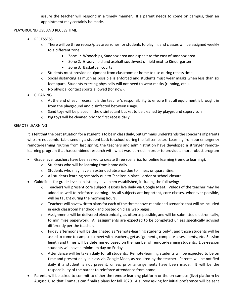assure the teacher will respond in a timely manner. If a parent needs to come on campus, then an appointment may certainly be made.

## PLAYGROUND USE AND RECESS TIME

- RECESSESS
	- $\circ$  There will be three recess/play area zones for students to play in, and classes will be assigned weekly to a different zone.
		- Zone 1: Woodchips, Sandbox area and asphalt to the east of sandbox area
		- Zone 2: Grassy field and asphalt southwest of field next to Kindergarten
		- Zone 3: Basketball courts
	- o Students must provide equipment from classroom or home to use during recess time.
	- $\circ$  Social distancing as much as possible is enforced and students must wear masks when less than six feet apart. Students exerting physically will not need to wear masks (running, etc.).
	- o No physical contact sports allowed (for now).
- **•** CLEANING
	- $\circ$  At the end of each recess, it is the teacher's responsibility to ensure that all equipment is brought in from the playground and disinfected between usage.
	- $\circ$  Sand toys will be placed in the disinfectant bucket to be cleaned by playground supervisors.
	- o Big toys will be cleaned prior to first recess daily.

### REMOTE LEARNING

It is felt that the best situation for a student is to be in class daily, but Emmaus understands the concerns of parents who are not comfortable sending a student back to school during the fall semester. Learning from our emergency remote-learning routine from last spring, the teachers and administration have developed a stronger remotelearning program that has combined research with what was learned, in order to provide a more robust program

- Grade level teachers have been asked to create three scenarios for online learning (remote learning):
	- o Students who will be learning from home daily.
	- $\circ$  Students who may have an extended absence due to illness or quarantine.
	- o All students learning remotely due to "shelter in place" order or school closure.
- Guidelines for grade level consistency have been established, including the following:
	- $\circ$  Teachers will present core subject lessons live daily via Google Meet. Videos of the teacher may be added as well to reinforce learning. As all subjects are important, core classes, whenever possible, will be taught during the morning hours.
	- $\circ$  Teachers will have written plans for each of the three above-mentioned scenarios that will be included in each classroom handbook and posted on class web pages.
	- $\circ$  Assignments will be delivered electronically, as often as possible, and will be submitted electronically, to minimize paperwork. All assignments are expected to be completed unless specifically advised differently per the teacher.
	- $\circ$  Friday afternoons will be designated as "remote-learning students only", and those students will be asked to come to campus to meet with teachers, get assignments, complete assessments, etc. Session length and times will be determined based on the number of remote-learning students. Live-session students will have a minimum day on Friday.
	- o Attendance will be taken daily for all students. Remote-learning students will be expected to be on time and present daily in class via Google Meet, as required by the teacher. Parents will be notified daily if a student is not present, unless prior arrangements have been made. It will be the responsibility of the parent to reinforce attendance from home.
- Parents will be asked to commit to either the remote learning platform or the on-campus (live) platform by August 1, so that Emmaus can finalize plans for fall 2020. A survey asking for initial preference will be sent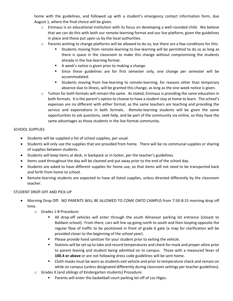home with the guidelines, and followed up with a student's emergency contact information form, due August 1, where the final choice will be given.

- $\circ$  Emmaus is an educational institution with its focus on developing a well-rounded child. We believe that we can do this with both our remote-learning format and our live platform, given the guidelines in place and those put upon us by the local authorities.
- $\circ$  Parents wishing to change platforms will be allowed to do so, but there are a few conditions for this:
	- Students moving from remote-learning to live-learning will be permitted to do so as long as there is space in the classroom to make this change without compromising the students already in the live-learning format.
	- A week's notice is given prior to making a change.
	- Since these guidelines are for first semester only, one change per semester will be accommodated.
	- Students moving from live-learning to remote-learning, for reasons other than temporary absence due to illness, will be granted this change, as long as the one-week notice is given.
- $\circ$  Tuition for both formats will remain the same. As stated, Emmaus is providing the same education in both formats. It is the parent's option to choose to have a student stay at home to learn. The school's expenses are no different with either format, as the same teachers are teaching and providing the service and expectations in both formats. Remote-learning students will be given the same opportunities to ask questions, seek help, and be part of the community via online, so they have the same advantages as those students in the live-format community.

### SCHOOL SUPPLIES

- Students will be supplied a list of school supplies, per usual.
- Students will only use the supplies that are provided from home. There will be no communal supplies or sharing of supplies between students.
- Students will keep items at desk, in backpack or in locker, per the teacher's guidelines.
- Items used throughout the day will be cleaned and put away prior to the end of the school day.
- Students are asked to have different supplies for home use, so that items will not need to be transported back and forth from home to school.
- Remote-learning students are expected to have all listed supplies, unless directed differently by the classroom teacher.

## STUDENT DROP-OFF AND PICK-UP

- Morning Drop Off: NO PARENTS WILL BE ALLOWED TO COME ONTO CAMPUS from 7:50-8:15 morning drop off time.
	- o Grades 1-8 Procedure:
		- All drop-off vehicles will enter through the south Almansor parking lot entrance (closest to Baldwin school). From there, cars will line up going north to south and then looping opposite the regular flow of traffic to be positioned in front of grade 6 gate (a map for clarification will be provided closer to the beginning of the school year).
		- **Please provide hand sanitizer for your student prior to exiting the vehicle.**
		- Stations will be set up to take and record temperatures and check for mask and proper attire prior to parent leaving and student being admitted on to campus. Those with a measured fever of **100.4 or above** or are not following dress code guidelines will be sent home.
		- **Cloth masks must be worn as students exit vehicle and prior to temperature check and remain on** while on campus (unless designated differently during classroom settings per teacher guidelines).
	- o Grades K (and siblings of Kindergarten students) Procedure:
		- **Parents will enter the basketball court parking lot off of Los Higos.**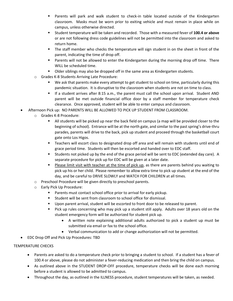- Parents will park and walk student to check-in table located outside of the Kindergarten classroom. Masks must be worn prior to exiting vehicle and must remain in place while on campus, unless otherwise directed.
- Student temperature will be taken and recorded. Those with a measured fever of **100.4 or above** or are not following dress code guidelines will not be permitted into the classroom and asked to return home.
- **The staff member who checks the temperature will sign student in on the sheet in front of the** parent, indicating the time of drop off.
- **Parents will not be allowed to enter the Kindergarten during the morning drop off time. There** WILL be scheduled time.
- Older siblings may also be dropped off in the same area as Kindergarten students.
- o Grades K-8 Students Arriving Late Procedure:
	- We ask that parents make every attempt to get student to school on time, particularly during this pandemic situation. It is disruptive to the classroom when students are not on time to class.
	- If a student arrives after 8:15 a.m., the parent must call the school upon arrival. Student AND parent will be met outside financial office door by a staff member for temperature check clearance. Once approved, student will be able to enter campus and classroom.
- Afternoon Pick up: NO PARENTS WILL BE ALLOWED TO PICK UP STUDENT FROM CLASSROOM.
	- o Grades K-8 Procedure:
		- All students will be picked up near the back field on campus (a map will be provided closer to the beginning of school). Entrance will be at the north gate, and similar to the past spring's drive-thru parades, parents will drive to the back, pick up student and proceed through the basketball court gate onto Los Higos.
		- Teachers will escort class to designated drop off area and will remain with students until end of grace period time. Students will then be escorted and handed over to EDC staff.
		- Students not picked up by the end of the grace period will be sent to EDC (extended day care). A separate procedure for pick up for EDC will be given at a later date.
		- **Please limit visit with teacher at the time of pick up, as there are parents behind you waiting to** pick up his or her child. Please remember to allow extra time to pick up student at the end of the day, and be careful to DRIVE SLOWLY and WATCH FOR CHILDREN at all times.
	- o Preschool Procedure will be given directly to preschool parents.
	- o Early Pick Up Procedure:
		- **Parents must contact school office prior to arrival for early pickup.**
		- **Student will be sent from classroom to school office for dismissal.**
		- Upon parent arrival, student will be escorted to front door to be released to parent.
		- Pick up rules concerning who may pick up a student still apply. Adults over 18 years old on the student emergency form will be authorized for student pick up.
			- A written note explaining additional adults authorized to pick a student up must be submitted via email or fax to the school office.
			- Verbal communication to add or change authorization will not be permitted.
- EDC Drop Off and Pick Up Procedures: TBD

# TEMPERATURE CHECKS

- Parents are asked to do a temperature check prior to bringing a student to school. If a student has a fever of 100.4 or above, please do not administer a fever-reducing medication and then bring the child on campus.
- As outlined above in the STUDENT DROP-OFF procedure, temperature checks will be done each morning before a student is allowed to be admitted to campus.
- Throughout the day, as outlined in the ILLNESS procedure, student temperatures will be taken, as needed.